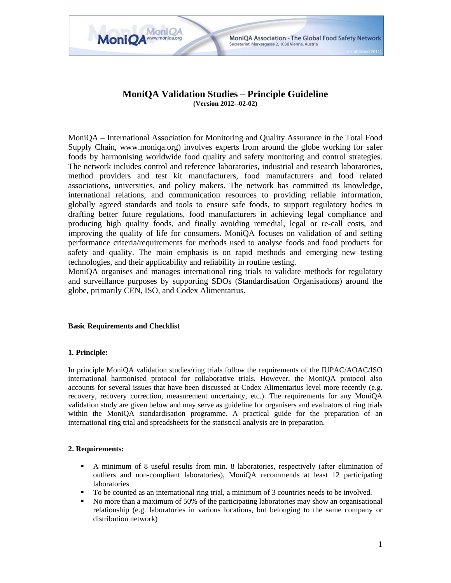

MoniQA Association - The Global Food Safety Network

Secretariat: Marxergasse 2, 1030 Vienna, Austria

**MoniOA** 

MoniOA<sup>www.moniqa.org</sup>

MoniQA – International Association for Monitoring and Quality Assurance in the Total Food Supply Chain, www.moniqa.org) involves experts from around the globe working for safer foods by harmonising worldwide food quality and safety monitoring and control strategies. The network includes control and reference laboratories, industrial and research laboratories, method providers and test kit manufacturers, food manufacturers and food related associations, universities, and policy makers. The network has committed its knowledge, international relations, and communication resources to providing reliable information, globally agreed standards and tools to ensure safe foods, to support regulatory bodies in drafting better future regulations, food manufacturers in achieving legal compliance and producing high quality foods, and finally avoiding remedial, legal or re-call costs, and improving the quality of life for consumers. MoniQA focuses on validation of and setting performance criteria/requirements for methods used to analyse foods and food products for safety and quality. The main emphasis is on rapid methods and emerging new testing technologies, and their applicability and reliability in routine testing.

MoniQA organises and manages international ring trials to validate methods for regulatory and surveillance purposes by supporting SDOs (Standardisation Organisations) around the globe, primarily CEN, ISO, and Codex Alimentarius.

# **Basic Requirements and Checklist**

# **1. Principle:**

In principle MoniQA validation studies/ring trials follow the requirements of the IUPAC/AOAC/ISO international harmonised protocol for collaborative trials. However, the MoniQA protocol also accounts for several issues that have been discussed at Codex Alimentarius level more recently (e.g. recovery, recovery correction, measurement uncertainty, etc.). The requirements for any MoniQA validation study are given below and may serve as guideline for organisers and evaluators of ring trials within the MoniQA standardisation programme. A practical guide for the preparation of an international ring trial and spreadsheets for the statistical analysis are in preparation.

# **2. Requirements:**

- A minimum of 8 useful results from min. 8 laboratories, respectively (after elimination of outliers and non-compliant laboratories), MoniQA recommends at least 12 participating laboratories
- $\blacksquare$  To be counted as an international ring trial, a minimum of 3 countries needs to be involved.<br> $\blacksquare$  No more than a maximum of 50% of the participating laboratories may show an organisation
- No more than a maximum of 50% of the participating laboratories may show an organisational relationship (e.g. laboratories in various locations, but belonging to the same company or distribution network)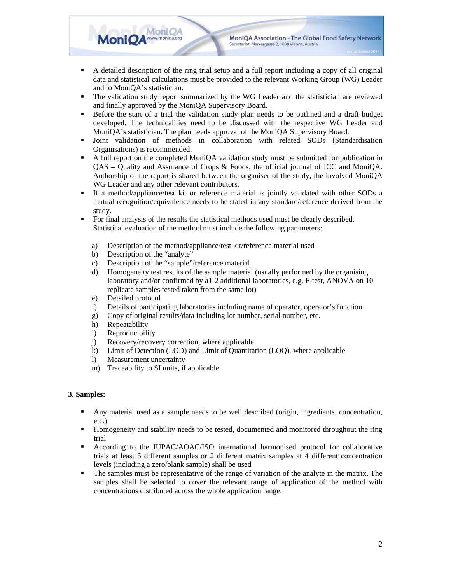MoniQA Association - The Global Food Safety Network Secretariat: Marxergasse 2, 1030 Vienna, Austria

- A detailed description of the ring trial setup and a full report including a copy of all original data and statistical calculations must be provided to the relevant Working Group (WG) Leader and to MoniQA's statistician.
- The validation study report summarized by the WG Leader and the statistician are reviewed and finally approved by the MoniQA Supervisory Board.
- Before the start of a trial the validation study plan needs to be outlined and a draft budget developed. The technicalities need to be discussed with the respective WG Leader and MoniQA's statistician. The plan needs approval of the MoniQA Supervisory Board.
- Joint validation of methods in collaboration with related SODs (Standardisation Organisations) is recommended.
- A full report on the completed MoniQA validation study must be submitted for publication in QAS – Quality and Assurance of Crops & Foods, the official journal of ICC and MoniQA. Authorship of the report is shared between the organiser of the study, the involved MoniQA WG Leader and any other relevant contributors.
- If a method/appliance/test kit or reference material is jointly validated with other SODs a mutual recognition/equivalence needs to be stated in any standard/reference derived from the study.
- For final analysis of the results the statistical methods used must be clearly described. Statistical evaluation of the method must include the following parameters:
	- a) Description of the method/appliance/test kit/reference material used
	- b) Description of the "analyte"
	- c) Description of the "sample"/reference material

**MoniOA** 

MoniQA<sup>www.moniqa.org</sup>

- d) Homogeneity test results of the sample material (usually performed by the organising laboratory and/or confirmed by a1-2 additional laboratories, e.g. F-test, ANOVA on 10 replicate samples tested taken from the same lot)
- e) Detailed protocol
- f) Details of participating laboratories including name of operator, operator's function
- g) Copy of original results/data including lot number, serial number, etc.
- h) Repeatability
- i) Reproducibility
- j) Recovery/recovery correction, where applicable
- k) Limit of Detection (LOD) and Limit of Quantitation (LOQ), where applicable
- l) Measurement uncertainty
- m) Traceability to SI units, if applicable

# **3. Samples:**

- Any material used as a sample needs to be well described (origin, ingredients, concentration, etc.)
- Homogeneity and stability needs to be tested, documented and monitored throughout the ring trial
- According to the IUPAC/AOAC/ISO international harmonised protocol for collaborative trials at least 5 different samples or 2 different matrix samples at 4 different concentration levels (including a zero/blank sample) shall be used
- The samples must be representative of the range of variation of the analyte in the matrix. The samples shall be selected to cover the relevant range of application of the method with concentrations distributed across the whole application range.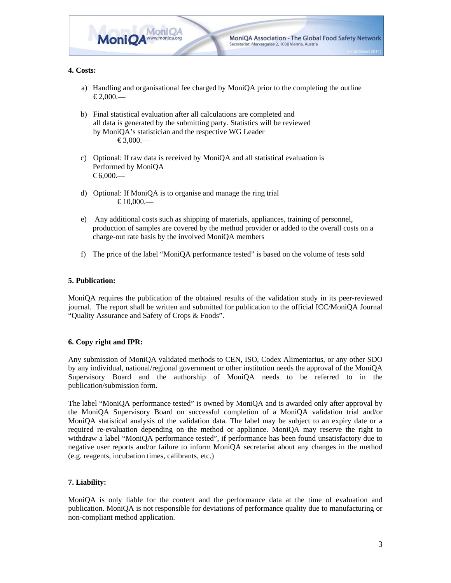

# **4. Costs:**

- a) Handling and organisational fee charged by MoniQA prior to the completing the outline  $€2,000$ .—
- b) Final statistical evaluation after all calculations are completed and all data is generated by the submitting party. Statistics will be reviewed by MoniQA's statistician and the respective WG Leader  $\textcircled{\textcirc}3.000$ .
- c) Optional: If raw data is received by MoniQA and all statistical evaluation is Performed by MoniQA  $€6,000$ .—
- d) Optional: If MoniQA is to organise and manage the ring trial  $€10,000...$
- e) Any additional costs such as shipping of materials, appliances, training of personnel, production of samples are covered by the method provider or added to the overall costs on a charge-out rate basis by the involved MoniQA members
- f) The price of the label "MoniQA performance tested" is based on the volume of tests sold

# **5. Publication:**

MoniQA requires the publication of the obtained results of the validation study in its peer-reviewed journal. The report shall be written and submitted for publication to the official ICC/MoniQA Journal "Quality Assurance and Safety of Crops & Foods".

# **6. Copy right and IPR:**

Any submission of MoniQA validated methods to CEN, ISO, Codex Alimentarius, or any other SDO by any individual, national/regional government or other institution needs the approval of the MoniQA Supervisory Board and the authorship of MoniQA needs to be referred to in the publication/submission form.

The label "MoniQA performance tested" is owned by MoniQA and is awarded only after approval by the MoniQA Supervisory Board on successful completion of a MoniQA validation trial and/or MoniQA statistical analysis of the validation data. The label may be subject to an expiry date or a required re-evaluation depending on the method or appliance. MoniQA may reserve the right to withdraw a label "MoniQA performance tested", if performance has been found unsatisfactory due to negative user reports and/or failure to inform MoniQA secretariat about any changes in the method (e.g. reagents, incubation times, calibrants, etc.)

# **7. Liability:**

MoniQA is only liable for the content and the performance data at the time of evaluation and publication. MoniQA is not responsible for deviations of performance quality due to manufacturing or non-compliant method application.